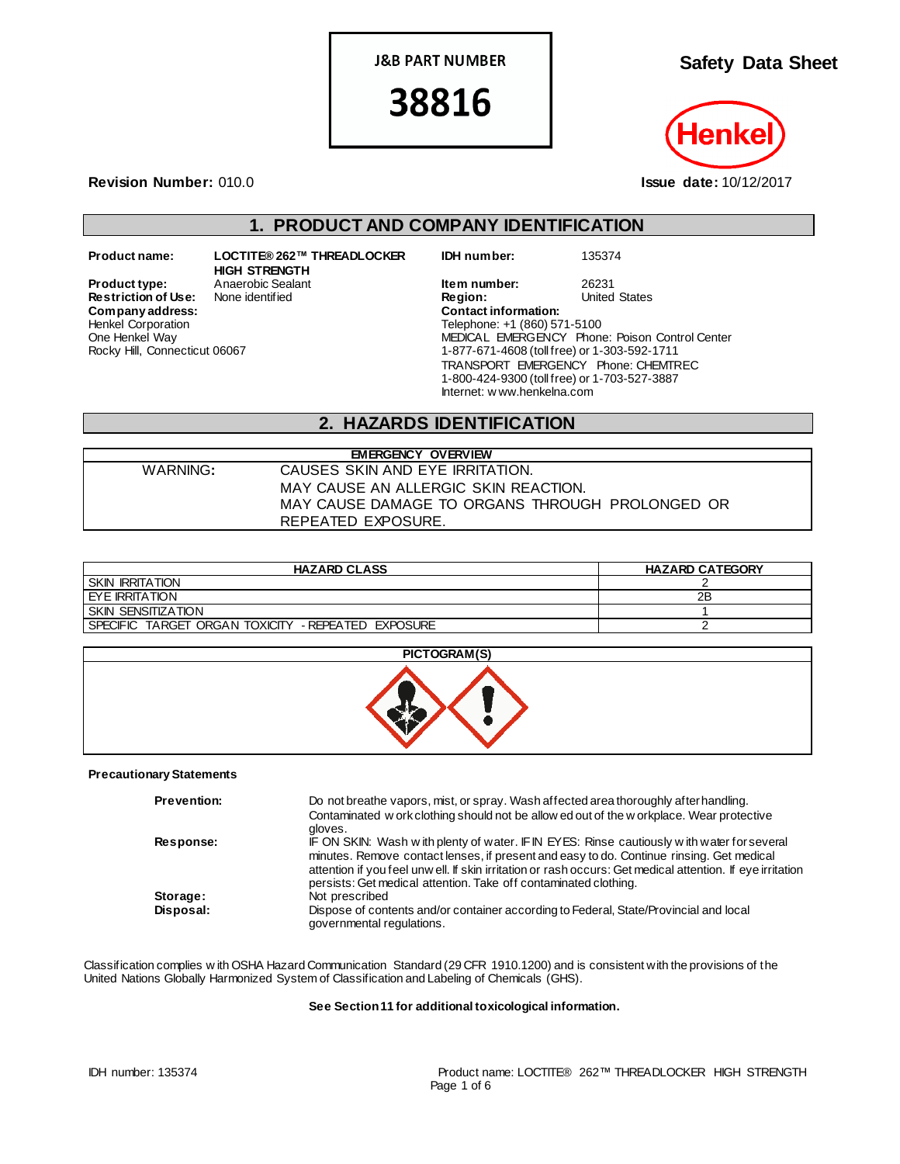**J&B PART NUMBER** 

38816

**Safety Data Sheet**



**Revision Number:** 010.0 **Issue date:** 10/12/2017

Rocky Hill, Connecticut 06067

## **1. PRODUCT AND COMPANY IDENTIFICATION**

**Restriction of Use:** None identified **Region:** Region: Region: United States Contact information:  $Company address:$ Henkel Corporation One Henkel Way

**Product name: LOCTITE® 262™ THREADLOCKER HIGH STRENGTH**

**IDH number:** 135374

**Product type:** Anaerobic Sealant **Item number:** 26231<br> **Restriction of Use:** None identified **Integral Construct Construct Construct** Construct Chates Telephone: +1 (860) 571-5100 MEDICAL EMERGENCY Phone: Poison Control Center 1-877-671-4608 (toll free) or 1-303-592-1711 TRANSPORT EMERGENCY Phone: CHEMTREC 1-800-424-9300 (toll free) or 1-703-527-3887 Internet: w ww.henkelna.com

## **2. HAZARDS IDENTIFICATION**

| <b>EMERGENCY OVERVIEW</b> |                                                 |  |  |
|---------------------------|-------------------------------------------------|--|--|
| WARNING:                  | CAUSES SKIN AND EYE IRRITATION.                 |  |  |
|                           | MAY CAUSE AN ALLERGIC SKIN REACTION.            |  |  |
|                           | MAY CAUSE DAMAGE TO ORGANS THROUGH PROLONGED OR |  |  |
|                           | REPEATED EXPOSURE.                              |  |  |

| <b>HAZARD CLASS</b>                                          | <b>HAZARD CATEGORY</b> |
|--------------------------------------------------------------|------------------------|
| <b>SKIN IRRITATION</b>                                       |                        |
| EYE IRRITATION                                               | 2B                     |
| <b>SKIN SENSITIZATION</b>                                    |                        |
| TARGET ORGAN TOXICITY - REPEATED EXPOSURE<br><b>SPECIFIC</b> |                        |



### **Precautionary Statements**

| <b>Prevention:</b> | Do not breathe vapors, mist, or spray. Wash affected area thoroughly after handling.<br>Contaminated w ork clothing should not be allow ed out of the w orkplace. Wear protective<br>aloves.                                                                                                                                                                             |
|--------------------|--------------------------------------------------------------------------------------------------------------------------------------------------------------------------------------------------------------------------------------------------------------------------------------------------------------------------------------------------------------------------|
| <b>Response:</b>   | IF ON SKIN: Wash with plenty of water. IF IN EYES: Rinse cautiously with water for several<br>minutes. Remove contact lenses, if present and easy to do. Continue rinsing. Get medical<br>attention if you feel unw ell. If skin irritation or rash occurs: Get medical attention. If eye irritation<br>persists: Get medical attention. Take off contaminated clothing. |
| Storage:           | Not prescribed                                                                                                                                                                                                                                                                                                                                                           |
| Disposal:          | Dispose of contents and/or container according to Federal, State/Provincial and local<br>governmental regulations.                                                                                                                                                                                                                                                       |

Classification complies w ith OSHA Hazard Communication Standard (29 CFR 1910.1200) and is consistent with the provisions of the United Nations Globally Harmonized System of Classification and Labeling of Chemicals (GHS).

#### **See Section 11 for additional toxicological information.**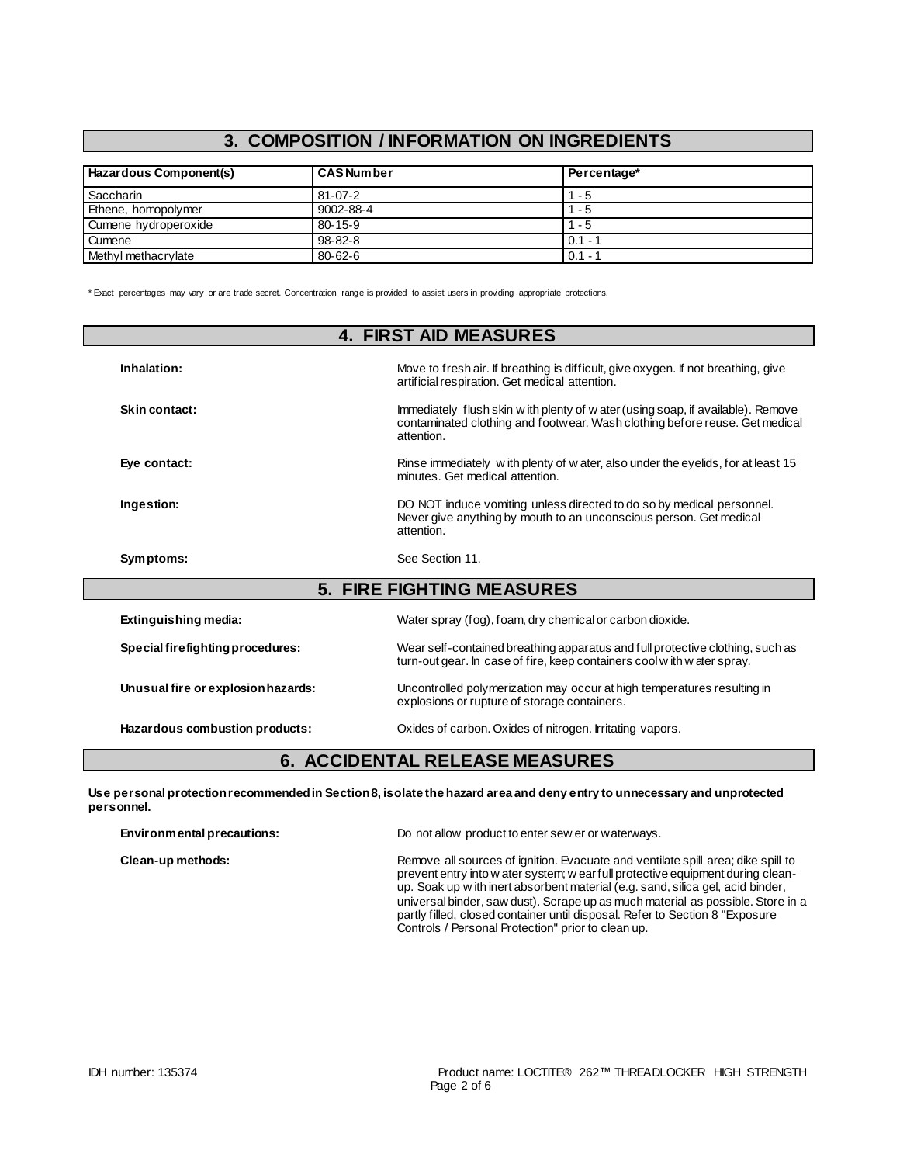# **3. COMPOSITION / INFORMATION ON INGREDIENTS**

| Hazardous Component(s) | <b>CAS Number</b> | Percentage* |
|------------------------|-------------------|-------------|
| Saccharin              | $81 - 07 - 2$     | $1 - 5$     |
| Ethene, homopolymer    | 9002-88-4         | $1 - 5$     |
| Cumene hydroperoxide   | $80 - 15 - 9$     | 1 - 5       |
| Cumene                 | $98 - 82 - 8$     | $0.1 - 1$   |
| Methyl methacrylate    | $80 - 62 - 6$     | $0.1 -$     |

\* Exact percentages may vary or are trade secret. Concentration range is provided to assist users in providing appropriate protections.

| <b>4. FIRST AID MEASURES</b>       |                                                                                                                                                                               |  |
|------------------------------------|-------------------------------------------------------------------------------------------------------------------------------------------------------------------------------|--|
| Inhalation:                        | Move to fresh air. If breathing is difficult, give oxygen. If not breathing, give<br>artificial respiration. Get medical attention.                                           |  |
| Skin contact:                      | Immediately flush skin w ith plenty of w ater (using soap, if available). Remove<br>contaminated clothing and footwear. Wash clothing before reuse. Get medical<br>attention. |  |
| Eye contact:                       | Rinse immediately with plenty of w ater, also under the eyelids, for at least 15<br>minutes. Get medical attention.                                                           |  |
| Ingestion:                         | DO NOT induce vomiting unless directed to do so by medical personnel.<br>Never give anything by mouth to an unconscious person. Get medical<br>attention.                     |  |
| Symptoms:                          | See Section 11.                                                                                                                                                               |  |
|                                    | <b>5. FIRE FIGHTING MEASURES</b>                                                                                                                                              |  |
| Extinguishing media:               | Water spray (fog), foam, dry chemical or carbon dioxide.                                                                                                                      |  |
| Special firefighting procedures:   | Wear self-contained breathing apparatus and full protective clothing, such as<br>turn-out gear. In case of fire, keep containers cool with water spray.                       |  |
| Unusual fire or explosion hazards: | Uncontrolled polymerization may occur at high temperatures resulting in<br>explosions or rupture of storage containers.                                                       |  |
| Hazardous combustion products:     | Oxides of carbon. Oxides of nitrogen. Irritating vapors.                                                                                                                      |  |

## **6. ACCIDENTAL RELEASE MEASURES**

**Use personal protection recommended in Section 8, isolate the hazard area and deny entry to unnecessary and unprotected personnel.**

| Environmental precautions: | Do not allow product to enter sew er or waterways.                                                                                                                                                                                                                                                                                                                                                                                                                             |
|----------------------------|--------------------------------------------------------------------------------------------------------------------------------------------------------------------------------------------------------------------------------------------------------------------------------------------------------------------------------------------------------------------------------------------------------------------------------------------------------------------------------|
| Clean-up methods:          | Remove all sources of ignition. Evacuate and ventilate spill area; dike spill to<br>prevent entry into w ater system; w ear full protective equipment during clean-<br>up. Soak up with inert absorbent material (e.g. sand, silica gel, acid binder,<br>universal binder, saw dust). Scrape up as much material as possible. Store in a<br>partly filled, closed container until disposal. Refer to Section 8 "Exposure<br>Controls / Personal Protection" prior to clean up. |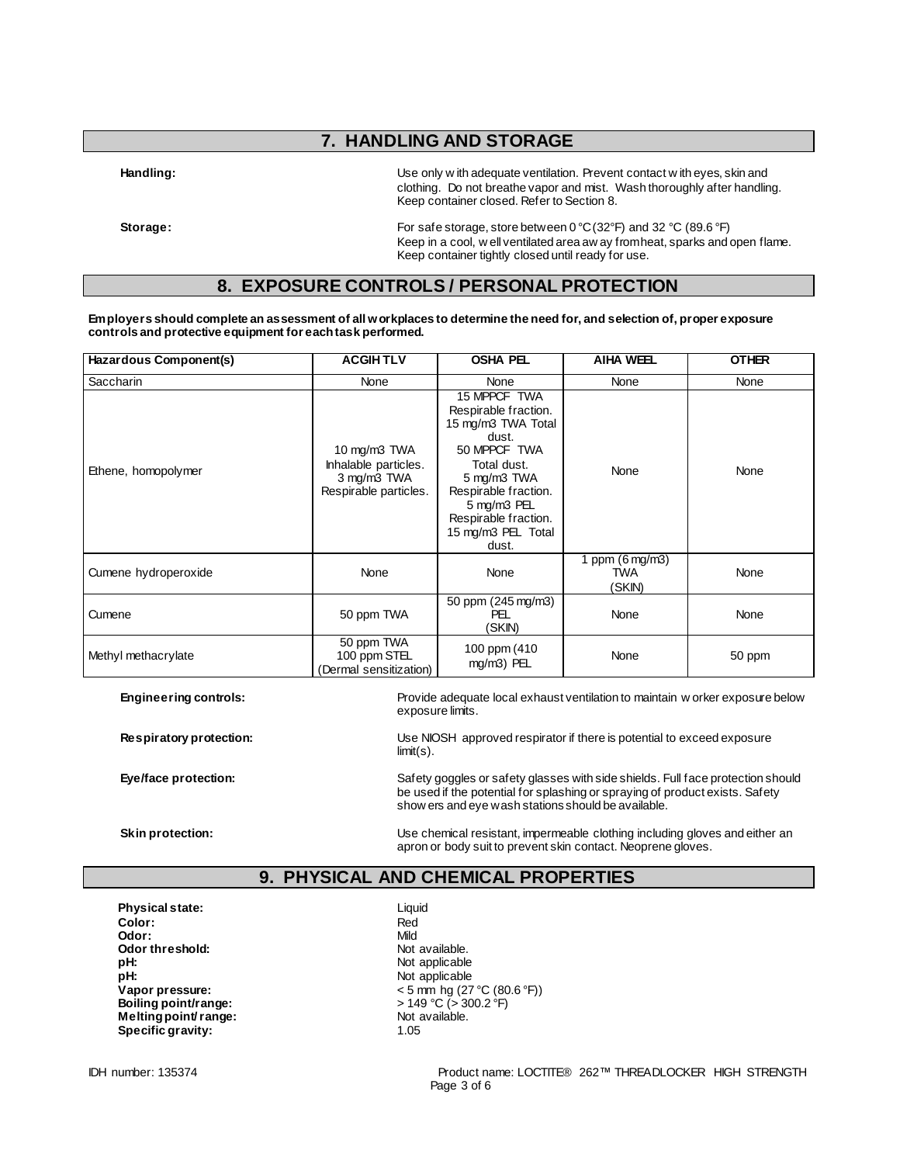## **7. HANDLING AND STORAGE**

**Handling:** Use only w ith adequate ventilation. Prevent contact w ith eyes, skin and clothing. Do not breathe vapor and mist. Wash thoroughly after handling. Keep container closed. Refer to Section 8.

**Storage:** For safe storage, store between 0 °C (32°F) and 32 °C (89.6 °F) Keep in a cool, w ell ventilated area aw ay from heat, sparks and open flame. Keep container tightly closed until ready for use.

## **8. EXPOSURE CONTROLS / PERSONAL PROTECTION**

**Employers should complete an assessment of all workplaces to determine the need for, and selection of, proper exposure controls and protective equipment for each task performed.**

| Hazardous Component(s) | <b>ACGIHTLV</b>                                                              | <b>OSHA PEL</b>                                                                                                                                                                                                 | <b>AIHA WEEL</b>                           | <b>OTHER</b> |
|------------------------|------------------------------------------------------------------------------|-----------------------------------------------------------------------------------------------------------------------------------------------------------------------------------------------------------------|--------------------------------------------|--------------|
| <b>Saccharin</b>       | None                                                                         | None                                                                                                                                                                                                            | None                                       | None         |
| Ethene, homopolymer    | 10 mg/m3 TWA<br>Inhalable particles.<br>3 mg/m3 TWA<br>Respirable particles. | 15 MPPCF TWA<br>Respirable fraction.<br>15 mg/m3 TWA Total<br>dust.<br>50 MPPCF TWA<br>Total dust.<br>5 mg/m3 TWA<br>Respirable fraction.<br>5 mg/m3 PEL<br>Respirable fraction.<br>15 mg/m3 PEL Total<br>dust. | None                                       | None         |
| Cumene hydroperoxide   | None                                                                         | None                                                                                                                                                                                                            | 1 ppm $(6 \text{ mg/m3})$<br>TWA<br>(SKIN) | None         |
| Cumene                 | 50 ppm TWA                                                                   | 50 ppm (245 mg/m3)<br>PEL<br>(SKIN)                                                                                                                                                                             | None                                       | None         |
| Methyl methacrylate    | 50 ppm TWA<br>100 ppm STEL<br>(Dermal sensitization)                         | 100 ppm (410)<br>mg/m3) PEL                                                                                                                                                                                     | None                                       | 50 ppm       |

**Engineering controls:** Provide adequate local exhaust ventilation to maintain w orker exposure below exposure limits.

**Respiratory protection:** Use NIOSH approved respirator if there is potential to exceed exposure limit(s).

**Eye/face protection:** Safety goggles or safety glasses with side shields. Full face protection should in the share of the share of the share of the share of the share of the share of the share of the share of the share of be used if the potential for splashing or spraying of product exists. Safety show ers and eye wash stations should be available.

**Skin protection:** Use chemical resistant, impermeable clothing including gloves and either an apron or body suit to prevent skin contact. Neoprene gloves.

## **9. PHYSICAL AND CHEMICAL PROPERTIES**

**Physical state:** Liquid **Color:** Red **Odor:** Mild<br> **Odor threshold:** Contained the Society of Mot available. **Odor threshold:**<br>pH: **pH:** Not applicable **Boiling point/range:**  $> 149 °C > 3$ <br> **Melting point/ range:**  $> 300$  Not available. **Melting point/ range: Specific gravity:** 1.05

Not applicable **Vapor pressure:**  $\leftarrow$  5 mm hg (27 °C (80.6 °F))<br> **Boiling point/range:**  $\leftarrow$  149 °C (> 300.2 °F)

IDH number: 135374 Product name: LOCTITE® 262™ THREADLOCKER HIGH STRENGTH Page 3 of 6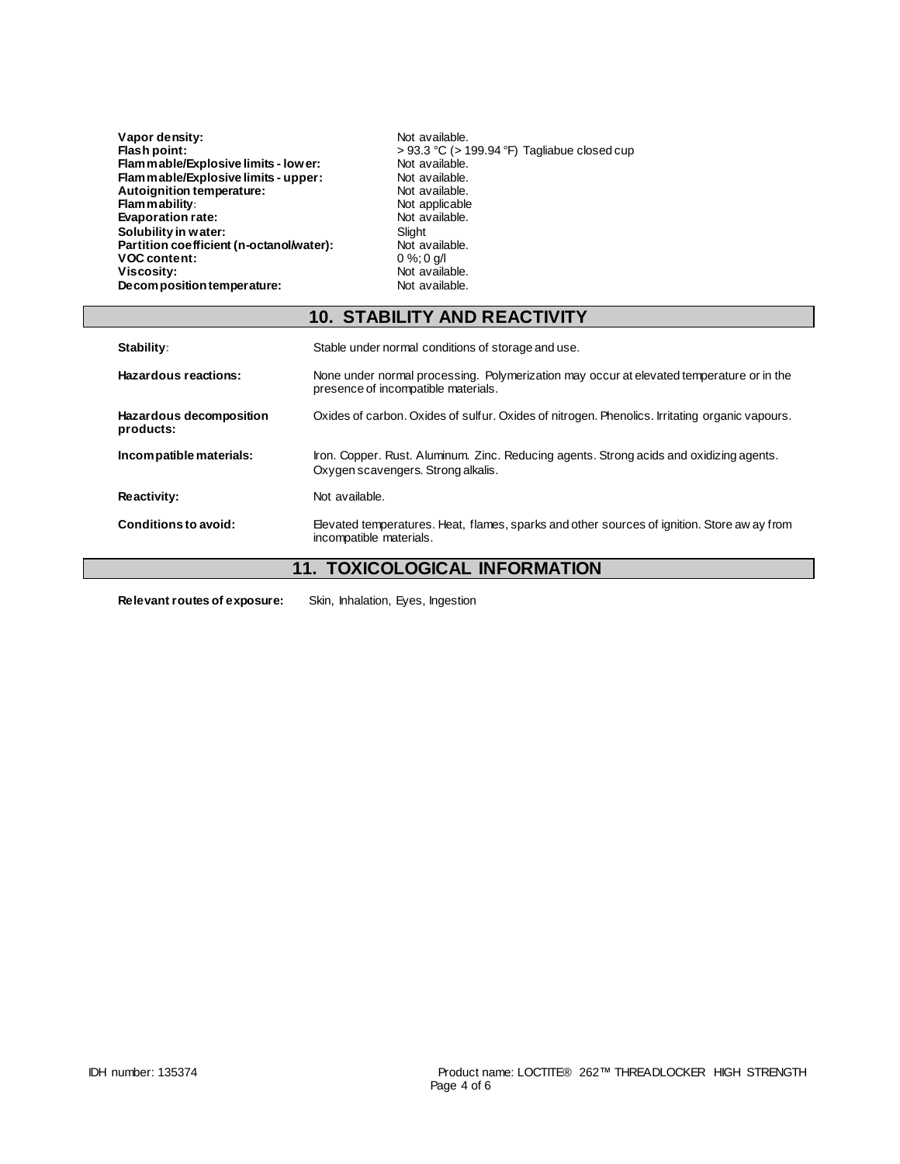| Vapor density:                           | Not available.                                    |
|------------------------------------------|---------------------------------------------------|
| Flash point:                             | $> 93.3$ °C ( $> 199.94$ °F) Tagliabue closed cup |
| Flammable/Explosive limits - lower:      | Not available.                                    |
| Flam mable/Explosive limits - upper:     | Not available.                                    |
| Autoignition temperature:                | Not available.                                    |
| Flammability:                            | Not applicable                                    |
| Evaporation rate:                        | Not available.                                    |
| Solubility in water:                     | Slight                                            |
| Partition coefficient (n-octanol/water): | Not available.                                    |
| <b>VOC content:</b>                      | $0\%$ ; 0 g/l                                     |
| Viscosity:                               | Not available.                                    |
| Decomposition temperature:               | Not available.                                    |

|                                      | <b>10. STABILITY AND REACTIVITY</b>                                                                                             |
|--------------------------------------|---------------------------------------------------------------------------------------------------------------------------------|
| Stability:                           | Stable under normal conditions of storage and use.                                                                              |
| Hazardous reactions:                 | None under normal processing. Polymerization may occur at elevated temperature or in the<br>presence of incompatible materials. |
| Hazardous decomposition<br>products: | Oxides of carbon. Oxides of sulfur. Oxides of nitrogen. Phenolics. Irritating organic vapours.                                  |
| Incompatible materials:              | Iron. Copper. Rust. Aluminum. Zinc. Reducing agents. Strong acids and oxidizing agents.<br>Oxygen scavengers. Strong alkalis.   |
| Reactivity:                          | Not available.                                                                                                                  |
| Conditions to avoid:                 | Elevated temperatures. Heat, flames, sparks and other sources of ignition. Store aw ay from<br>incompatible materials.          |

# **11. TOXICOLOGICAL INFORMATION**

**Relevant routes of exposure:** Skin, Inhalation, Eyes, Ingestion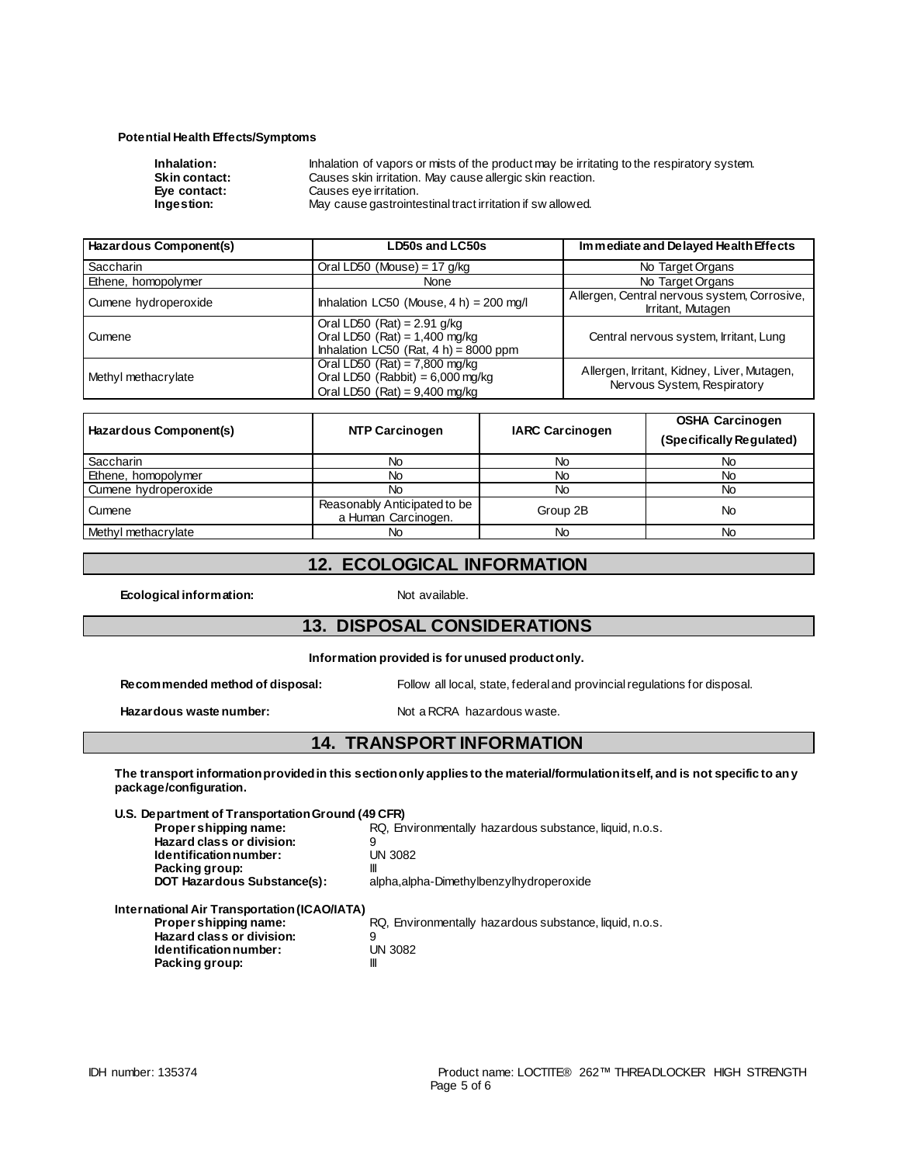### **Potential Health Effects/Symptoms**

| Inhalation:          | Inhalation of vapors or mists of the product may be irritating to the respiratory system. |
|----------------------|-------------------------------------------------------------------------------------------|
| <b>Skin contact:</b> | Causes skin irritation. May cause allergic skin reaction.                                 |
| Eve contact:         | Causes eve irritation.                                                                    |
| Ingestion:           | May cause gastrointestinal tract irritation if swallowed.                                 |
|                      |                                                                                           |

| Hazardous Component(s) | <b>LD50s and LC50s</b>                                                                                       | Immediate and Delayed Health Effects                                       |  |
|------------------------|--------------------------------------------------------------------------------------------------------------|----------------------------------------------------------------------------|--|
| <b>Saccharin</b>       | Oral LD50 (Mouse) = 17 g/kg                                                                                  | No Target Organs                                                           |  |
| Ethene, homopolymer    | None                                                                                                         | No Target Organs                                                           |  |
| Cumene hydroperoxide   | Inhalation LC50 (Mouse, $4 h$ ) = 200 mg/l                                                                   | Allergen, Central nervous system, Corrosive,<br>Irritant, Mutagen          |  |
| Cumene                 | Oral LD50 (Rat) = $2.91$ g/kg<br>Oral LD50 $(Rat) = 1,400$ mg/kg<br>Inhalation LC50 (Rat, $4 h$ ) = 8000 ppm | Central nervous system, Irritant, Lung                                     |  |
| Methyl methacrylate    | Oral LD50 $(Rat) = 7,800$ mg/kg<br>Oral LD50 (Rabbit) = $6,000$ mg/kg<br>Oral LD50 (Rat) = $9,400$ mg/kg     | Allergen, Irritant, Kidney, Liver, Mutagen,<br>Nervous System, Respiratory |  |

| Hazardous Component(s) | <b>NTP Carcinogen</b>                               | <b>IARC Carcinogen</b> | <b>OSHA Carcinogen</b><br>(Specifically Regulated) |
|------------------------|-----------------------------------------------------|------------------------|----------------------------------------------------|
| Saccharin              | No                                                  | No                     | No                                                 |
| Ethene, homopolymer    | No                                                  | No                     | No                                                 |
| Cumene hydroperoxide   | No                                                  | No                     | No                                                 |
| Cumene                 | Reasonably Anticipated to be<br>a Human Carcinogen. | Group 2B               | No                                                 |
| Methyl methacrylate    | No                                                  | No                     | No                                                 |

## **12. ECOLOGICAL INFORMATION**

**Ecological information:** Not available.

### **13. DISPOSAL CONSIDERATIONS**

**Information provided is for unused product only.**

| Recommended method of disposal: | Follow all local, state, federal and provincial regulations for disposal. |  |
|---------------------------------|---------------------------------------------------------------------------|--|
|                                 |                                                                           |  |

### Hazardous waste number: Not a RCRA hazardous waste.

### **14. TRANSPORT INFORMATION**

**The transport information provided in this section only applies to the material/formulation itself, and is not specific to any package/configuration.**

| U.S. Department of Transportation Ground (49 CFR) |                                                         |
|---------------------------------------------------|---------------------------------------------------------|
| Proper shipping name:                             | RQ, Environmentally hazardous substance, liquid, n.o.s. |
| Hazard class or division:                         | 9                                                       |
| Identification number:                            | UN 3082                                                 |
| Packing group:                                    | Ш                                                       |
| <b>DOT Hazardous Substance(s):</b>                | alpha, alpha-Dimethylbenzylhydroperoxide                |
| International Air Transportation (ICAO/IATA)      |                                                         |
| Propershipping name:                              | RQ, Environmentally hazardous substance, liquid, n.o.s. |
| Hazard class or division:                         | 9                                                       |
| Identification number:                            | UN 3082                                                 |
| Packing group:                                    | Ш                                                       |

**Packing group:**